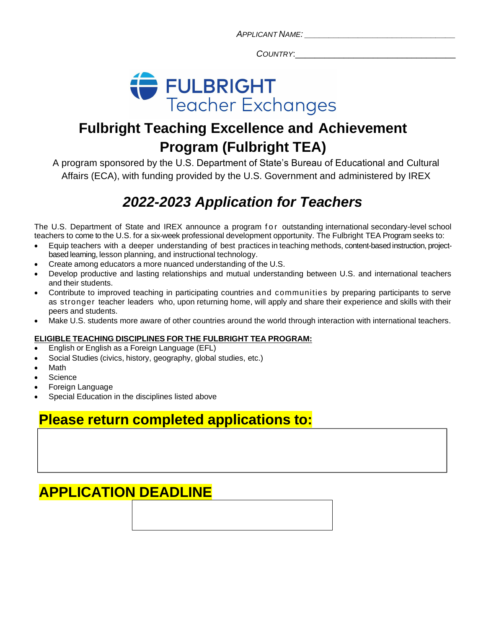*APPLICANT NAME: \_\_\_\_\_\_\_\_\_\_\_\_\_\_\_\_\_\_\_\_\_\_\_\_\_\_\_\_\_\_\_*

*COUNTRY*:\_\_\_\_\_\_\_\_\_\_\_\_\_\_\_\_\_\_\_\_\_\_\_\_\_\_\_\_\_\_\_\_\_



# **Fulbright Teaching Excellence and Achievement Program (Fulbright TEA)**

A program sponsored by the U.S. Department of State's Bureau of Educational and Cultural Affairs (ECA), with funding provided by the U.S. Government and administered by IREX

# *2022-2023 Application for Teachers*

The U.S. Department of State and IREX announce a program for outstanding international secondary-level school teachers to come to the U.S. for a six-week professional development opportunity. The Fulbright TEA Program seeks to:

- Equip teachers with a deeper understanding of best practices inteaching methods, content-based instruction, projectbased learning, lesson planning, and instructional technology.
- Create among educators a more nuanced understanding of the U.S.
- Develop productive and lasting relationships and mutual understanding between U.S. and international teachers and their students.
- Contribute to improved teaching in participating countries and communities by preparing participants to serve as stronger teacher leaders who, upon returning home, will apply and share their experience and skills with their peers and students.
- Make U.S. students more aware of other countries around the world through interaction with international teachers.

## **ELIGIBLE TEACHING DISCIPLINES FOR THE FULBRIGHT TEA PROGRAM:**

- English or English as a Foreign Language (EFL)
- Social Studies (civics, history, geography, global studies, etc.)
- Math
- **Science**
- Foreign Language
- Special Education in the disciplines listed above

# **Please return completed applications to:**

# **APPLICATION DEADLINE**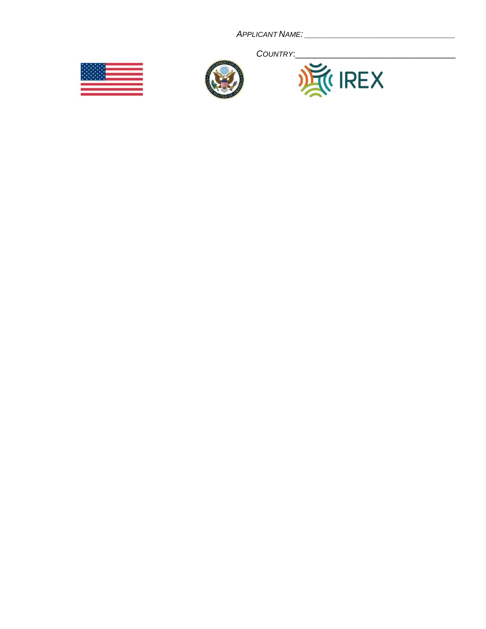



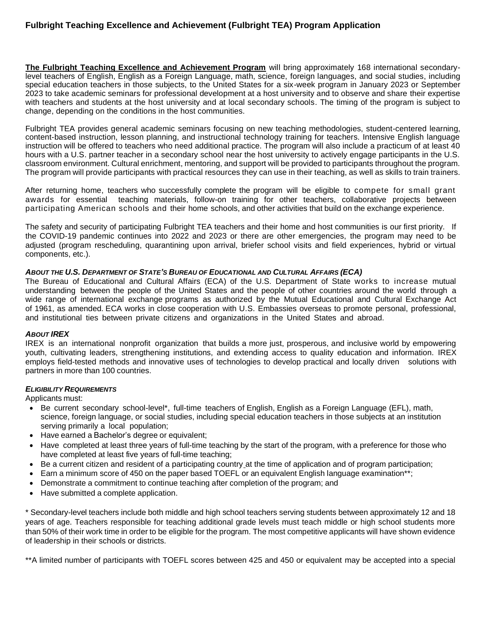## **Fulbright Teaching Excellence and Achievement (Fulbright TEA) Program Application**

**The Fulbright Teaching Excellence and Achievement Program** will bring approximately 168 international secondarylevel teachers of English, English as a Foreign Language, math, science, foreign languages, and social studies, including special education teachers in those subjects, to the United States for a six-week program in January 2023 or September 2023 to take academic seminars for professional development at a host university and to observe and share their expertise with teachers and students at the host university and at local secondary schools. The timing of the program is subject to change, depending on the conditions in the host communities.

Fulbright TEA provides general academic seminars focusing on new teaching methodologies, student-centered learning, content-based instruction, lesson planning, and instructional technology training for teachers. Intensive English language instruction will be offered to teachers who need additional practice. The program will also include a practicum of at least 40 hours with a U.S. partner teacher in a secondary school near the host university to actively engage participants in the U.S. classroom environment. Cultural enrichment, mentoring, and support will be provided to participants throughout the program. The program will provide participants with practical resources they can use in their teaching, as well as skills to train trainers.

After returning home, teachers who successfully complete the program will be eligible to compete for small grant awards for essential teaching materials, follow-on training for other teachers, collaborative projects between participating American schools and their home schools, and other activities that build on the exchange experience.

The safety and security of participating Fulbright TEA teachers and their home and host communities is our first priority. If the COVID-19 pandemic continues into 2022 and 2023 or there are other emergencies, the program may need to be adjusted (program rescheduling, quarantining upon arrival, briefer school visits and field experiences, hybrid or virtual components, etc.).

#### *ABOUT THE U.S. DEPARTMENT OF STATE'S BUREAU OF EDUCATIONAL AND CULTURAL AFFAIRS (ECA)*

The Bureau of Educational and Cultural Affairs (ECA) of the U.S. Department of State works to increase mutual understanding between the people of the United States and the people of other countries around the world through a wide range of international exchange programs as authorized by the Mutual Educational and Cultural Exchange Act of 1961, as amended. ECA works in close cooperation with U.S. Embassies overseas to promote personal, professional, and institutional ties between private citizens and organizations in the United States and abroad.

### *ABOUT IREX*

IREX is an international nonprofit organization that builds a more just, prosperous, and inclusive world by empowering youth, cultivating leaders, strengthening institutions, and extending access to quality education and information. IREX employs field-tested methods and innovative uses of technologies to develop practical and locally driven solutions with partners in more than 100 countries.

#### *ELIGIBILITY REQUIREMENTS*

Applicants must:

- Be current secondary school-level\*, full-time teachers of English, English as a Foreign Language (EFL), math, science, foreign language, or social studies, including special education teachers in those subjects at an institution serving primarily a local population;
- Have earned a Bachelor's degree or equivalent;
- Have completed at least three years of full-time teaching by the start of the program, with a preference for those who have completed at least five years of full-time teaching;
- Be a current citizen and resident of a participating country at the time of application and of program participation;
- Earn a minimum score of 450 on the paper based TOEFL or an equivalent English language examination\*\*;
- Demonstrate a commitment to continue teaching after completion of the program; and
- Have submitted a complete application.

\* Secondary-level teachers include both middle and high school teachers serving students between approximately 12 and 18 years of age. Teachers responsible for teaching additional grade levels must teach middle or high school students more than 50% of their work time in order to be eligible for the program. The most competitive applicants will have shown evidence of leadership in their schools or districts.

\*\*A limited number of participants with TOEFL scores between 425 and 450 or equivalent may be accepted into a special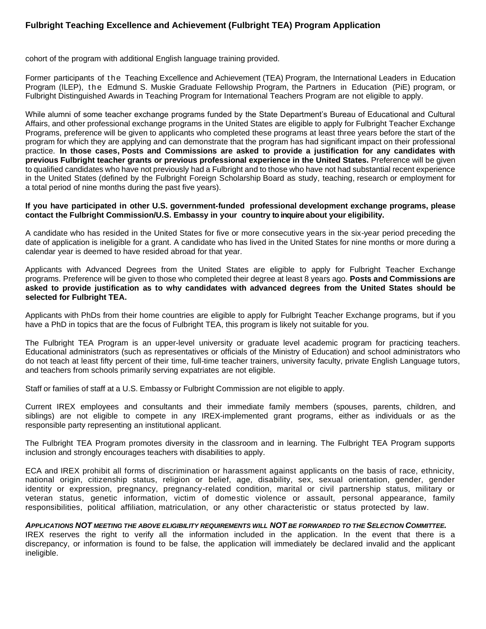## **Fulbright Teaching Excellence and Achievement (Fulbright TEA) Program Application**

cohort of the program with additional English language training provided.

Former participants of t he Teaching Excellence and Achievement (TEA) Program, the International Leaders in Education Program (ILEP), the Edmund S. Muskie Graduate Fellowship Program, the Partners in Education (PiE) program, or Fulbright Distinguished Awards in Teaching Program for International Teachers Program are not eligible to apply.

While alumni of some teacher exchange programs funded by the State Department's Bureau of Educational and Cultural Affairs, and other professional exchange programs in the United States are eligible to apply for Fulbright Teacher Exchange Programs, preference will be given to applicants who completed these programs at least three years before the start of the program for which they are applying and can demonstrate that the program has had significant impact on their professional practice. **In those cases, Posts and Commissions are asked to provide a justification for any candidates with previous Fulbright teacher grants or previous professional experience in the United States.** Preference will be given to qualified candidates who have not previously had a Fulbright and to those who have not had substantial recent experience in the United States (defined by the Fulbright Foreign Scholarship Board as study, teaching, research or employment for a total period of nine months during the past five years).

#### **If you have participated in other U.S. government-funded professional development exchange programs, please contact the Fulbright Commission/U.S. Embassy in your country to inquireabout your eligibility.**

A candidate who has resided in the United States for five or more consecutive years in the six-year period preceding the date of application is ineligible for a grant. A candidate who has lived in the United States for nine months or more during a calendar year is deemed to have resided abroad for that year.

Applicants with Advanced Degrees from the United States are eligible to apply for Fulbright Teacher Exchange programs. Preference will be given to those who completed their degree at least 8 years ago. **Posts and Commissions are asked to provide justification as to why candidates with advanced degrees from the United States should be selected for Fulbright TEA.**

Applicants with PhDs from their home countries are eligible to apply for Fulbright Teacher Exchange programs, but if you have a PhD in topics that are the focus of Fulbright TEA, this program is likely not suitable for you.

The Fulbright TEA Program is an upper-level university or graduate level academic program for practicing teachers. Educational administrators (such as representatives or officials of the Ministry of Education) and school administrators who do not teach at least fifty percent of their time, full-time teacher trainers, university faculty, private English Language tutors, and teachers from schools primarily serving expatriates are not eligible.

Staff or families of staff at a U.S. Embassy or Fulbright Commission are not eligible to apply.

Current IREX employees and consultants and their immediate family members (spouses, parents, children, and siblings) are not eligible to compete in any IREX-implemented grant programs, either as individuals or as the responsible party representing an institutional applicant.

The Fulbright TEA Program promotes diversity in the classroom and in learning. The Fulbright TEA Program supports inclusion and strongly encourages teachers with disabilities to apply.

ECA and IREX prohibit all forms of discrimination or harassment against applicants on the basis of race, ethnicity, national origin, citizenship status, religion or belief, age, disability, sex, sexual orientation, gender, gender identity or expression, pregnancy, pregnancy-related condition, marital or civil partnership status, military or veteran status, genetic information, victim of domestic violence or assault, personal appearance, family responsibilities, political affiliation, matriculation, or any other characteristic or status protected by law.

*APPLICATIONS NOT MEETING THE ABOVE ELIGIBILITY REQUIREMENTS WILL NOT BE FORWARDED TO THE SELECTION COMMITTEE.* IREX reserves the right to verify all the information included in the application. In the event that there is a discrepancy, or information is found to be false, the application will immediately be declared invalid and the applicant ineligible.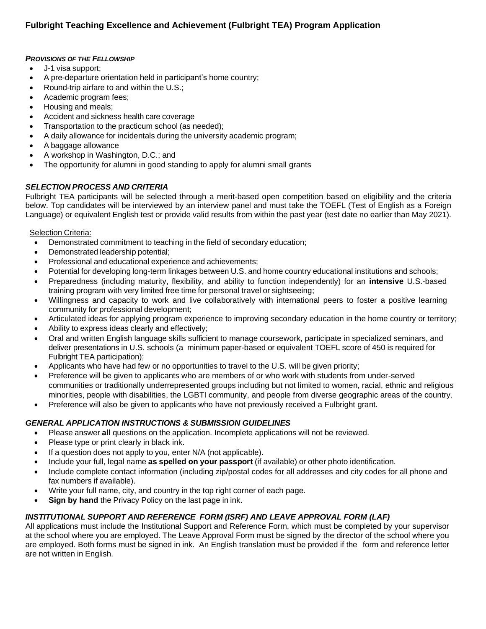### *PROVISIONS OF THE FELLOWSHIP*

- J-1 visa support;
- A pre-departure orientation held in participant's home country;
- Round-trip airfare to and within the U.S.;
- Academic program fees;
- Housing and meals;
- Accident and sickness health care coverage
- Transportation to the practicum school (as needed);
- A daily allowance for incidentals during the university academic program;
- A baggage allowance
- A workshop in Washington, D.C.; and
- The opportunity for alumni in good standing to apply for alumni small grants

### *SELECTION PROCESS AND CRITERIA*

Fulbright TEA participants will be selected through a merit-based open competition based on eligibility and the criteria below. Top candidates will be interviewed by an interview panel and must take the TOEFL (Test of English as a Foreign Language) or equivalent English test or provide valid results from within the past year (test date no earlier than May 2021).

Selection Criteria:

- Demonstrated commitment to teaching in the field of secondary education;
- Demonstrated leadership potential;
- Professional and educational experience and achievements;
- Potential for developing long-term linkages between U.S. and home country educational institutions and schools;
- Preparedness (including maturity, flexibility, and ability to function independently) for an **intensive** U.S.-based training program with very limited free time for personal travel or sightseeing;
- Willingness and capacity to work and live collaboratively with international peers to foster a positive learning community for professional development;
- Articulated ideas for applying program experience to improving secondary education in the home country or territory;
- Ability to express ideas clearly and effectively;
- Oral and written English language skills sufficient to manage coursework, participate in specialized seminars, and deliver presentations in U.S. schools (a minimum paper-based or equivalent TOEFL score of 450 is required for Fulbright TEA participation);
- Applicants who have had few or no opportunities to travel to the U.S. will be given priority;
- Preference will be given to applicants who are members of or who work with students from under-served communities or traditionally underrepresented groups including but not limited to women, racial, ethnic and religious minorities, people with disabilities, the LGBTI community, and people from diverse geographic areas of the country.
- Preference will also be given to applicants who have not previously received a Fulbright grant.

## *GENERAL APPLICATION INSTRUCTIONS & SUBMISSION GUIDELINES*

- Please answer **all** questions on the application. Incomplete applications will not be reviewed.
- Please type or print clearly in black ink.
- If a question does not apply to you, enter N/A (not applicable).
- Include your full, legal name **as spelled on your passport** (if available) or other photo identification.
- Include complete contact information (including zip/postal codes for all addresses and city codes for all phone and fax numbers if available).
- Write your full name, city, and country in the top right corner of each page.
- **Sign by hand** the Privacy Policy on the last page in ink.

## *INSTITUTIONAL SUPPORT AND REFERENCE FORM (ISRF) AND LEAVE APPROVAL FORM (LAF)*

All applications must include the Institutional Support and Reference Form, which must be completed by your supervisor at the school where you are employed. The Leave Approval Form must be signed by the director of the school where you are employed. Both forms must be signed in ink. An English translation must be provided if the form and reference letter are not written in English.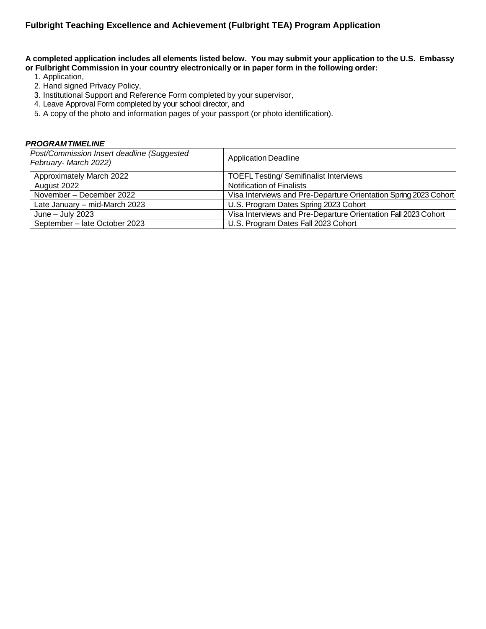A completed application includes all elements listed below. You may submit your application to the U.S. Embassy **or Fulbright Commission in your country electronically or in paper form in the following order:**

- 1. Application,
- 2. Hand signed Privacy Policy,
- 3. Institutional Support and Reference Form completed by your supervisor,
- 4. Leave Approval Form completed by your school director, and
- 5. A copy of the photo and information pages of your passport (or photo identification).

### *PROGRAMTIMELINE*

| Post/Commission Insert deadline (Suggested<br>February-March 2022) | <b>Application Deadline</b>                                      |
|--------------------------------------------------------------------|------------------------------------------------------------------|
| Approximately March 2022                                           | <b>TOEFL Testing/ Semifinalist Interviews</b>                    |
| August 2022                                                        | <b>Notification of Finalists</b>                                 |
| November - December 2022                                           | Visa Interviews and Pre-Departure Orientation Spring 2023 Cohort |
| Late January - mid-March 2023                                      | U.S. Program Dates Spring 2023 Cohort                            |
| June $-$ July 2023                                                 | Visa Interviews and Pre-Departure Orientation Fall 2023 Cohort   |
| September - late October 2023                                      | U.S. Program Dates Fall 2023 Cohort                              |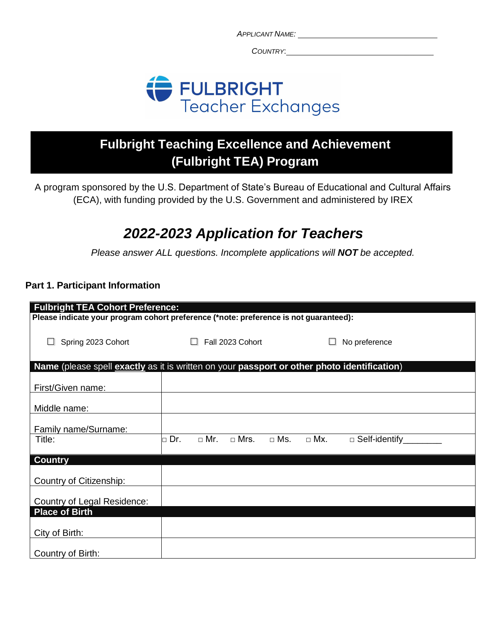*COUNTRY*:



# **Fulbright Teaching Excellence and Achievement (Fulbright TEA) Program**

A program sponsored by the U.S. Department of State's Bureau of Educational and Cultural Affairs (ECA), with funding provided by the U.S. Government and administered by IREX

# *2022-2023 Application for Teachers*

*Please answer ALL questions. Incomplete applications will NOT be accepted.*

## **Part 1. Participant Information**

|                                                                                             | <b>Fulbright TEA Cohort Preference:</b> |            |             |               |            |                      |  |
|---------------------------------------------------------------------------------------------|-----------------------------------------|------------|-------------|---------------|------------|----------------------|--|
| Please indicate your program cohort preference (*note: preference is not guaranteed):       |                                         |            |             |               |            |                      |  |
| Spring 2023 Cohort                                                                          | Fall 2023 Cohort                        |            |             | No preference |            |                      |  |
| Name (please spell exactly as it is written on your passport or other photo identification) |                                         |            |             |               |            |                      |  |
| First/Given name:                                                                           |                                         |            |             |               |            |                      |  |
| Middle name:                                                                                |                                         |            |             |               |            |                      |  |
| Family name/Surname:                                                                        |                                         |            |             |               |            |                      |  |
| Title:                                                                                      | Dr.<br>П                                | $\Box$ Mr. | $\Box$ Mrs. | $\Box$ Ms.    | $\Box$ Mx. | $\Box$ Self-identify |  |
| <b>Country</b>                                                                              |                                         |            |             |               |            |                      |  |
| Country of Citizenship:                                                                     |                                         |            |             |               |            |                      |  |
| Country of Legal Residence:                                                                 |                                         |            |             |               |            |                      |  |
| <b>Place of Birth</b>                                                                       |                                         |            |             |               |            |                      |  |
| City of Birth:                                                                              |                                         |            |             |               |            |                      |  |
| Country of Birth:                                                                           |                                         |            |             |               |            |                      |  |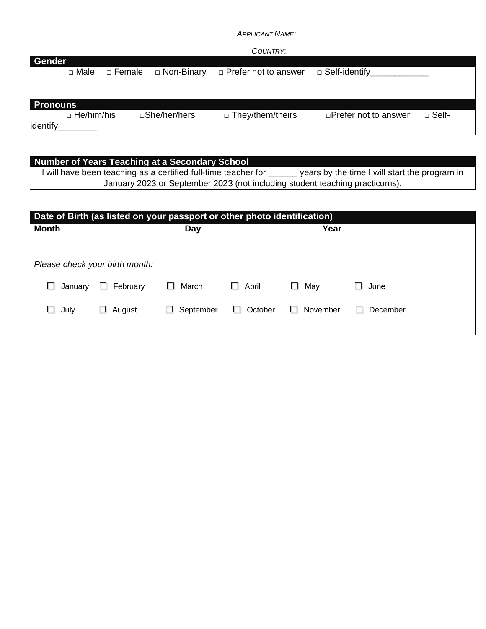|                 |                   |          |               | COUNTRY:                    |                             |                 |
|-----------------|-------------------|----------|---------------|-----------------------------|-----------------------------|-----------------|
| Gender          |                   |          |               |                             |                             |                 |
|                 | □ Male            | □ Female | □ Non-Binary  | $\Box$ Prefer not to answer | $\Box$ Self-identify        |                 |
|                 |                   |          |               |                             |                             |                 |
|                 |                   |          |               |                             |                             |                 |
| <b>Pronouns</b> |                   |          |               |                             |                             |                 |
|                 | $\Box$ He/him/his |          | □She/her/hers | $\Box$ They/them/theirs     | $\Box$ Prefer not to answer | $\square$ Self- |
| identify        |                   |          |               |                             |                             |                 |

| Number of Years Teaching at a Secondary School                              |                                               |
|-----------------------------------------------------------------------------|-----------------------------------------------|
| I will have been teaching as a certified full-time teacher for              | years by the time I will start the program in |
| January 2023 or September 2023 (not including student teaching practicums). |                                               |

| Date of Birth (as listed on your passport or other photo identification) |                                |                |                 |               |                |
|--------------------------------------------------------------------------|--------------------------------|----------------|-----------------|---------------|----------------|
| <b>Month</b>                                                             |                                | Day            |                 | Year          |                |
|                                                                          |                                |                |                 |               |                |
|                                                                          |                                |                |                 |               |                |
|                                                                          | Please check your birth month: |                |                 |               |                |
| January                                                                  | February<br>ш                  | March<br>г     | April<br>$\Box$ | May<br>ப      | June<br>$\sim$ |
| July<br>⊔.                                                               | August<br>ш                    | September<br>ш | October         | November<br>H | December<br>H  |
|                                                                          |                                |                |                 |               |                |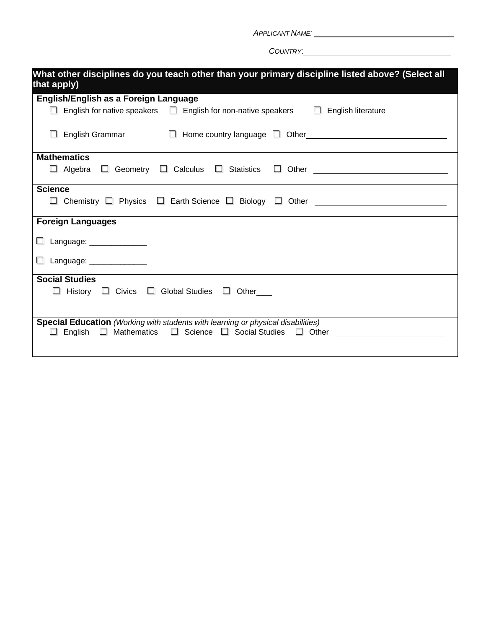*COUNTRY*:

| What other disciplines do you teach other than your primary discipline listed above? (Select all<br>that apply)                                                    |  |  |  |  |
|--------------------------------------------------------------------------------------------------------------------------------------------------------------------|--|--|--|--|
| English/English as a Foreign Language                                                                                                                              |  |  |  |  |
| $\Box$ English for native speakers $\Box$ English for non-native speakers $\Box$ English literature                                                                |  |  |  |  |
| English Grammar □ B Home country language □ Other Bottle Demonstrum D Home country language □ Other                                                                |  |  |  |  |
| <b>Mathematics</b>                                                                                                                                                 |  |  |  |  |
| $\Box$ Algebra $\Box$ Geometry $\Box$ Calculus $\Box$ Statistics $\Box$ Other $\Box$ Algebra $\Box$ Geometry $\Box$ Calculus $\Box$ Statistics $\Box$ Other $\Box$ |  |  |  |  |
| <b>Science</b>                                                                                                                                                     |  |  |  |  |
| $\Box$ Chemistry $\Box$ Physics $\Box$ Earth Science $\Box$ Biology $\Box$ Other $\Box$                                                                            |  |  |  |  |
| <b>Foreign Languages</b>                                                                                                                                           |  |  |  |  |
| $\Box$ Language: ______________                                                                                                                                    |  |  |  |  |
| $\Box$ Language: ______________                                                                                                                                    |  |  |  |  |
| <b>Social Studies</b>                                                                                                                                              |  |  |  |  |
| $\Box$ History $\Box$ Civics $\Box$ Global Studies $\Box$ Other                                                                                                    |  |  |  |  |
| <b>Special Education</b> (Working with students with learning or physical disabilities)                                                                            |  |  |  |  |
| English □ Mathematics □ Science □ Social Studies □ Other _______________________<br>$\mathbf{L}$                                                                   |  |  |  |  |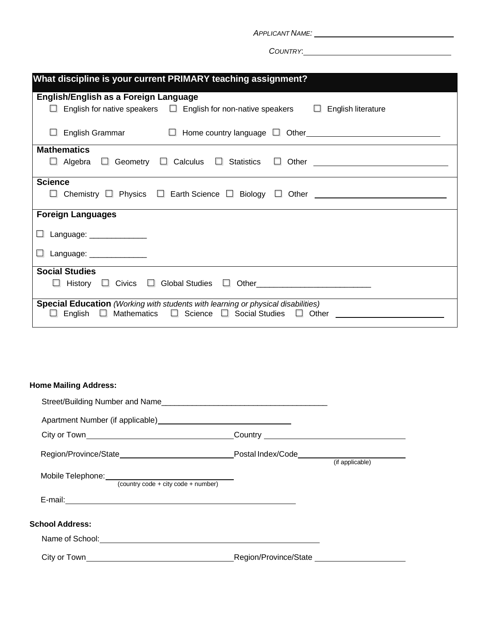*COUNTRY*:

| What discipline is your current PRIMARY teaching assignment?                                                                                                               |  |  |  |  |
|----------------------------------------------------------------------------------------------------------------------------------------------------------------------------|--|--|--|--|
| English/English as a Foreign Language                                                                                                                                      |  |  |  |  |
| $\Box$ English for native speakers $\Box$ English for non-native speakers $\Box$<br>English literature                                                                     |  |  |  |  |
| English Grammar $\Box$ Home country language $\Box$ Other $\Box$ Alter $\Box$ Alternative Structure $\Box$<br>ш                                                            |  |  |  |  |
| <b>Mathematics</b>                                                                                                                                                         |  |  |  |  |
| $\Box$ Algebra $\Box$ Geometry $\Box$ Calculus $\Box$ Statistics $\Box$ Other $\Box$                                                                                       |  |  |  |  |
| <b>Science</b>                                                                                                                                                             |  |  |  |  |
| $\Box$ Chemistry $\Box$ Physics $\Box$ Earth Science $\Box$ Biology $\Box$ Other                                                                                           |  |  |  |  |
| <b>Foreign Languages</b>                                                                                                                                                   |  |  |  |  |
| □ Language: _____________                                                                                                                                                  |  |  |  |  |
| □ Language: _____________                                                                                                                                                  |  |  |  |  |
| <b>Social Studies</b>                                                                                                                                                      |  |  |  |  |
|                                                                                                                                                                            |  |  |  |  |
| <b>Special Education</b> (Working with students with learning or physical disabilities)<br>$\Box$ Mathematics $\Box$ Science $\Box$ Social Studies $\Box$ Other<br>English |  |  |  |  |

## **Home Mailing Address:**

|                                                                                                                                                                                                                               | (if applicable) |
|-------------------------------------------------------------------------------------------------------------------------------------------------------------------------------------------------------------------------------|-----------------|
| $\overline{\text{ (country code + city code + number)}}$                                                                                                                                                                      |                 |
|                                                                                                                                                                                                                               |                 |
| <b>School Address:</b>                                                                                                                                                                                                        |                 |
|                                                                                                                                                                                                                               |                 |
| City or Town Care and Contract City of Town City of Town Contract City of Town City of Town City of Town City of Town City of Town City of Town City of Town City of Town City of Town City of Town City of Town City of Town |                 |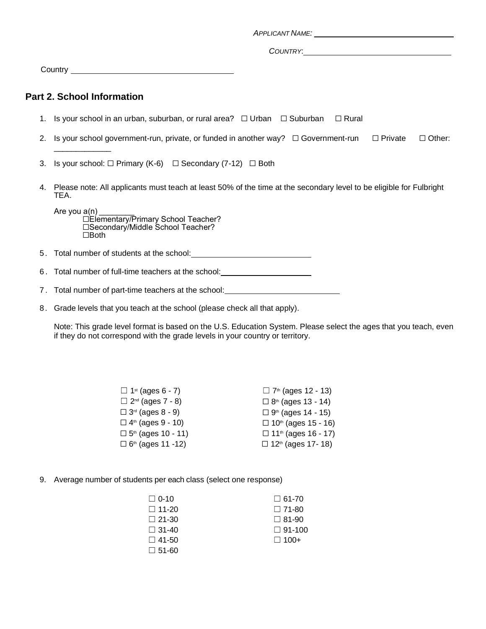|    | <b>Part 2. School Information</b>                                                                                           |
|----|-----------------------------------------------------------------------------------------------------------------------------|
|    | 1. Is your school in an urban, suburban, or rural area? $\Box$ Urban $\Box$ Suburban<br>$\Box$ Rural                        |
| 2. | Is your school government-run, private, or funded in another way? $\Box$ Government-run $\Box$ Private<br>$\Box$ Other:     |
| 3. | Is your school: $\Box$ Primary (K-6) $\Box$ Secondary (7-12) $\Box$ Both                                                    |
| 4. | Please note: All applicants must teach at least 50% of the time at the secondary level to be eligible for Fulbright<br>TEA. |
|    | Are you $a(n)$<br>□Elementary/Primary School Teacher?<br>□Secondary/Middle School Teacher?<br>$\Box$ Both                   |
|    |                                                                                                                             |
| 6. | Total number of full-time teachers at the school: ______________________________                                            |
|    | 7. Total number of part-time teachers at the school:                                                                        |

8. Grade levels that you teach at the school (please check all that apply).

Note: This grade level format is based on the U.S. Education System. Please select the ages that you teach, even if they do not correspond with the grade levels in your country or territory.

| $\Box$ 1 <sup>st</sup> (ages 6 - 7)      | $\Box$ 7 <sup>th</sup> (ages 12 - 13) |
|------------------------------------------|---------------------------------------|
| $\Box$ 2 <sup>nd</sup> (ages 7 - 8)      | $\Box$ 8 <sup>th</sup> (ages 13 - 14) |
| $\square$ 3 <sup>rd</sup> (ages 8 - 9)   | □ $9th$ (ages 14 - 15)                |
| $\square$ 4 <sup>th</sup> (ages 9 - 10)  | □ 10 <sup>th</sup> (ages 15 - 16)     |
| $\square$ 5 <sup>th</sup> (ages 10 - 11) | □ 11 <sup>th</sup> (ages 16 - 17)     |
| $\square$ 6 <sup>th</sup> (ages 11 -12)  | $\Box$ 12 <sup>th</sup> (ages 17-18)  |

9. Average number of students per each class (select one response)

| $\Box$ 61-70  |
|---------------|
| $\Box$ 71-80  |
| $\Box$ 81-90  |
| $\Box$ 91-100 |
| $\Box$ 100+   |
|               |
|               |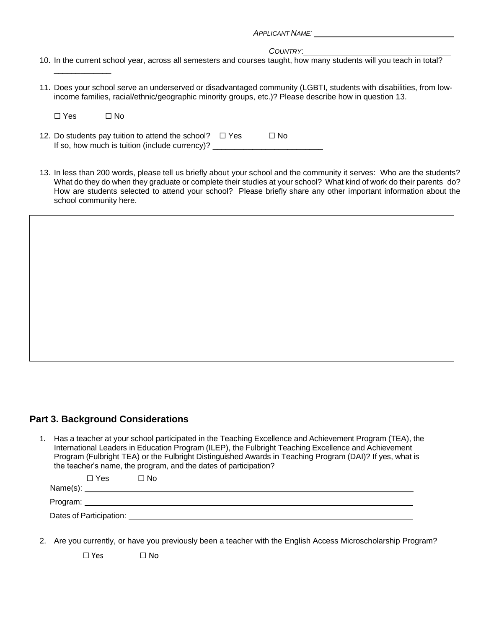*COUNTRY*: 10. In the current school year, across all semesters and courses taught, how many students will you teach in total?

11. Does your school serve an underserved or disadvantaged community (LGBTI, students with disabilities, from lowincome families, racial/ethnic/geographic minority groups, etc.)? Please describe how in question 13.

| □ Yes | $\Box$ No |
|-------|-----------|
|-------|-----------|

\_\_\_\_\_\_\_\_\_\_\_\_\_

- 12. Do students pay tuition to attend the school?  $\Box$  Yes  $\Box$  No If so, how much is tuition (include currency)? \_\_\_\_\_\_\_\_\_\_\_\_\_\_\_\_\_\_\_\_\_\_\_\_\_\_\_\_\_\_\_\_\_
- 13. In less than 200 words, please tell us briefly about your school and the community it serves: Who are the students? What do they do when they graduate or complete their studies at your school? What kind of work do their parents do? How are students selected to attend your school? Please briefly share any other important information about the school community here.

## **Part 3. Background Considerations**

1. Has a teacher at your school participated in the Teaching Excellence and Achievement Program (TEA), the International Leaders in Education Program (ILEP), the Fulbright Teaching Excellence and Achievement Program (Fulbright TEA) or the Fulbright Distinguished Awards in Teaching Program (DAI)? If yes, what is the teacher's name, the program, and the dates of participation?

| $\Box$ Yes              | ∩ No     |
|-------------------------|----------|
|                         | Name(s): |
|                         |          |
| Dates of Participation: |          |

2. Are you currently, or have you previously been a teacher with the English Access Microscholarship Program?

☐ Yes ☐ No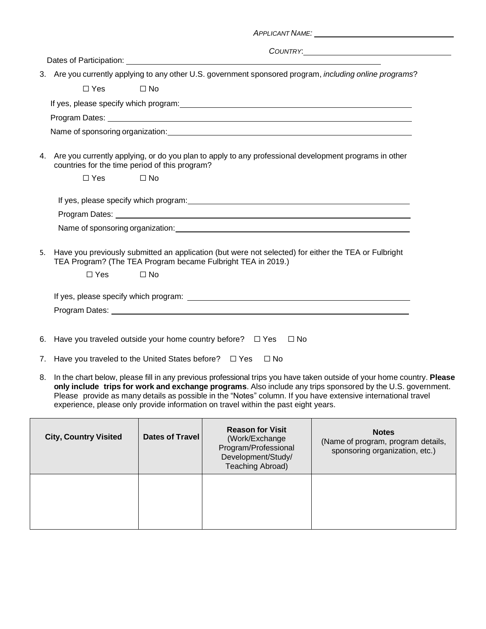|    |            | APPLICANT NAME: Annual Contract of the Contract of the Contract of the Contract of the Contract of the Contract of the Contract of the Contract of the Contract of the Contract of the Contract of the Contract of the Contrac |
|----|------------|--------------------------------------------------------------------------------------------------------------------------------------------------------------------------------------------------------------------------------|
|    |            |                                                                                                                                                                                                                                |
|    |            |                                                                                                                                                                                                                                |
|    |            | 3. Are you currently applying to any other U.S. government sponsored program, including online programs?                                                                                                                       |
|    | $\Box$ Yes | $\square$ No                                                                                                                                                                                                                   |
|    |            | If yes, please specify which program: example and a set of the state of the state of the state of the state of the state of the state of the state of the state of the state of the state of the state of the state of the sta |
|    |            |                                                                                                                                                                                                                                |
|    |            |                                                                                                                                                                                                                                |
|    |            | 4. Are you currently applying, or do you plan to apply to any professional development programs in other<br>countries for the time period of this program?                                                                     |
|    | $\Box$ Yes | $\Box$ No                                                                                                                                                                                                                      |
|    |            | If yes, please specify which program: example and a set of the state of the state of the state of the state of                                                                                                                 |
|    |            | Name of sponsoring organization: example and a series of the state of the state of the state of the state of the state of the state of the state of the state of the state of the state of the state of the state of the state |
| 5. | $\Box$ Yes | Have you previously submitted an application (but were not selected) for either the TEA or Fulbright<br>TEA Program? (The TEA Program became Fulbright TEA in 2019.)<br>$\Box$ No                                              |
|    |            |                                                                                                                                                                                                                                |
|    |            |                                                                                                                                                                                                                                |
| 6. |            | Have you traveled outside your home country before? $\Box$ Yes<br>$\Box$ No                                                                                                                                                    |
|    |            | 7. Have you traveled to the United States before? $\Box$ Yes<br>$\Box$ No                                                                                                                                                      |

8. In the chart below, please fill in any previous professional trips you have taken outside of your home country. **Please only include trips for work and exchange programs**. Also include any trips sponsored by the U.S. government. Please provide as many details as possible in the "Notes" column. If you have extensive international travel experience, please only provide information on travel within the past eight years.

| <b>City, Country Visited</b> | Dates of Travel | <b>Reason for Visit</b><br>(Work/Exchange)<br>Program/Professional<br>Development/Study/<br>Teaching Abroad) | <b>Notes</b><br>(Name of program, program details,<br>sponsoring organization, etc.) |
|------------------------------|-----------------|--------------------------------------------------------------------------------------------------------------|--------------------------------------------------------------------------------------|
|                              |                 |                                                                                                              |                                                                                      |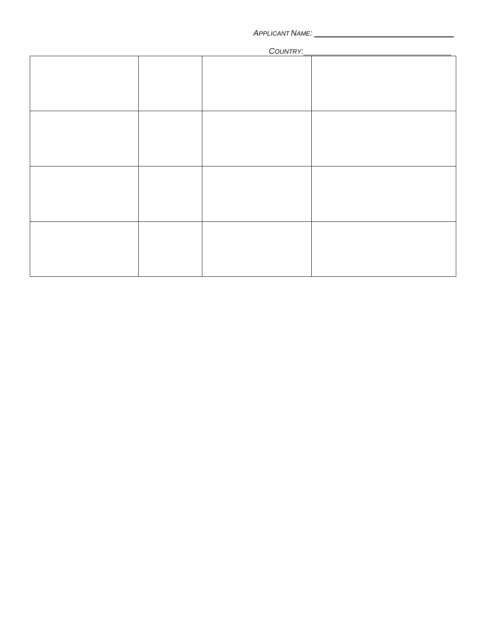#### *COUNTRY*:

| <b>COUNTRY.</b> |  |  |  |  |
|-----------------|--|--|--|--|
|                 |  |  |  |  |
|                 |  |  |  |  |
|                 |  |  |  |  |
|                 |  |  |  |  |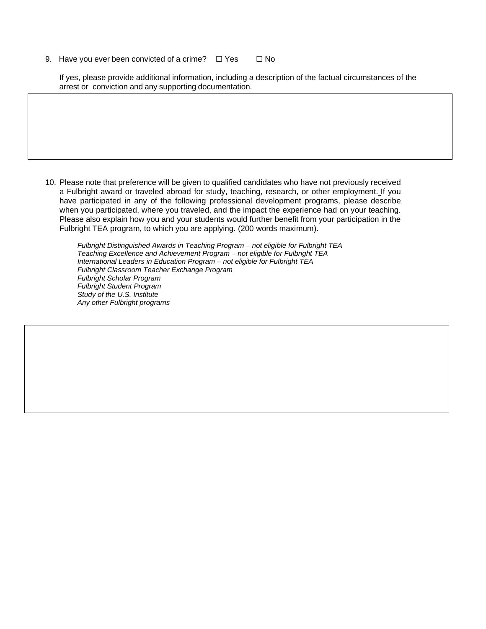9. Have you ever been convicted of a crime?  $□$  Yes  $□$  No

If yes, please provide additional information, including a description of the factual circumstances of the arrest or conviction and any supporting documentation.

10. Please note that preference will be given to qualified candidates who have not previously received a Fulbright award or traveled abroad for study, teaching, research, or other employment. If you have participated in any of the following professional development programs, please describe when you participated, where you traveled, and the impact the experience had on your teaching. Please also explain how you and your students would further benefit from your participation in the Fulbright TEA program, to which you are applying. (200 words maximum).

*Fulbright Distinguished Awards in Teaching Program – not eligible for Fulbright TEA Teaching Excellence and Achievement Program – not eligible for Fulbright TEA International Leaders in Education Program – not eligible for Fulbright TEA Fulbright Classroom Teacher Exchange Program Fulbright Scholar Program Fulbright Student Program Study of the U.S. Institute Any other Fulbright programs*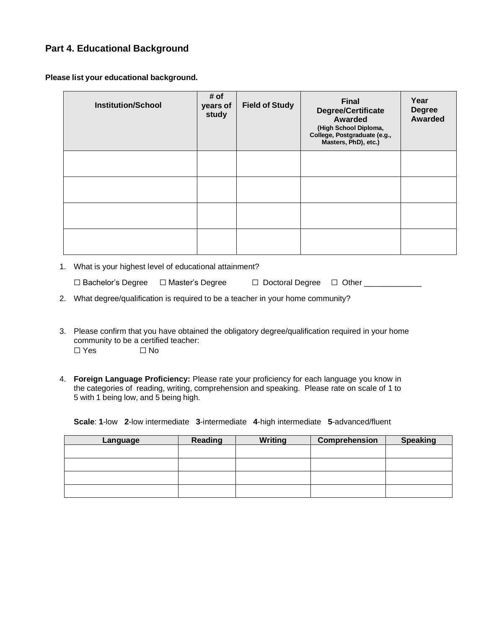## **Part 4. Educational Background**

**Please list your educational background.**

| <b>Institution/School</b> | # of<br>years of<br>study | <b>Field of Study</b> | <b>Final</b><br><b>Degree/Certificate</b><br>Awarded<br>(High School Diploma,<br>College, Postgraduate (e.g.,<br>Masters, PhD), etc.) | Year<br><b>Degree</b><br><b>Awarded</b> |
|---------------------------|---------------------------|-----------------------|---------------------------------------------------------------------------------------------------------------------------------------|-----------------------------------------|
|                           |                           |                       |                                                                                                                                       |                                         |
|                           |                           |                       |                                                                                                                                       |                                         |
|                           |                           |                       |                                                                                                                                       |                                         |
|                           |                           |                       |                                                                                                                                       |                                         |

1. What is your highest level of educational attainment?

| □ Bachelor's Degree □ Master's Degree | □ Doctoral Degree □ Other |  |
|---------------------------------------|---------------------------|--|
|                                       |                           |  |

2. What degree/qualification is required to be a teacher in your home community?

- 3. Please confirm that you have obtained the obligatory degree/qualification required in your home community to be a certified teacher: ☐ Yes ☐ No
- 4. **Foreign Language Proficiency:** Please rate your proficiency for each language you know in the categories of reading, writing, comprehension and speaking. Please rate on scale of 1 to 5 with 1 being low, and 5 being high.

**Scale**: **1**-low **2**-low intermediate **3**-intermediate **4**-high intermediate **5**-advanced/fluent

| Language | <b>Reading</b> | <b>Writing</b> | Comprehension | <b>Speaking</b> |
|----------|----------------|----------------|---------------|-----------------|
|          |                |                |               |                 |
|          |                |                |               |                 |
|          |                |                |               |                 |
|          |                |                |               |                 |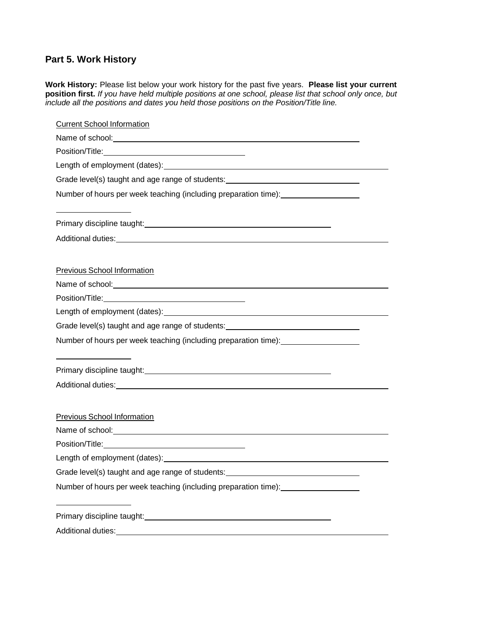## **Part 5. Work History**

**Work History:** Please list below your work history for the past five years. **Please list your current position first.** *If you have held multiple positions at one school, please list that school only once, but include all the positions and dates you held those positions on the Position/Title line.*

| <b>Current School Information</b>                                                                                                                                                                                              |
|--------------------------------------------------------------------------------------------------------------------------------------------------------------------------------------------------------------------------------|
| Name of school: <u>contained and a series of school</u>                                                                                                                                                                        |
|                                                                                                                                                                                                                                |
|                                                                                                                                                                                                                                |
| Grade level(s) taught and age range of students: _______________________________                                                                                                                                               |
| Number of hours per week teaching (including preparation time):                                                                                                                                                                |
| Primary discipline taught:<br>Filmary discipline taught:                                                                                                                                                                       |
| Additional duties: <u>Additional duties:</u>                                                                                                                                                                                   |
| Previous School Information                                                                                                                                                                                                    |
|                                                                                                                                                                                                                                |
|                                                                                                                                                                                                                                |
|                                                                                                                                                                                                                                |
| Grade level(s) taught and age range of students: _______________________________                                                                                                                                               |
| Number of hours per week teaching (including preparation time): ________________                                                                                                                                               |
|                                                                                                                                                                                                                                |
| Additional duties: <u>Additional duties:</u> Additional duties:                                                                                                                                                                |
|                                                                                                                                                                                                                                |
| <b>Previous School Information</b>                                                                                                                                                                                             |
| Name of school: Name of school:                                                                                                                                                                                                |
|                                                                                                                                                                                                                                |
| Length of employment (dates): Notified that the contract of the contract of the contract of the contract of the contract of the contract of the contract of the contract of the contract of the contract of the contract of th |
| Grade level(s) taught and age range of students:                                                                                                                                                                               |
| Number of hours per week teaching (including preparation time):                                                                                                                                                                |
|                                                                                                                                                                                                                                |
| Additional duties:                                                                                                                                                                                                             |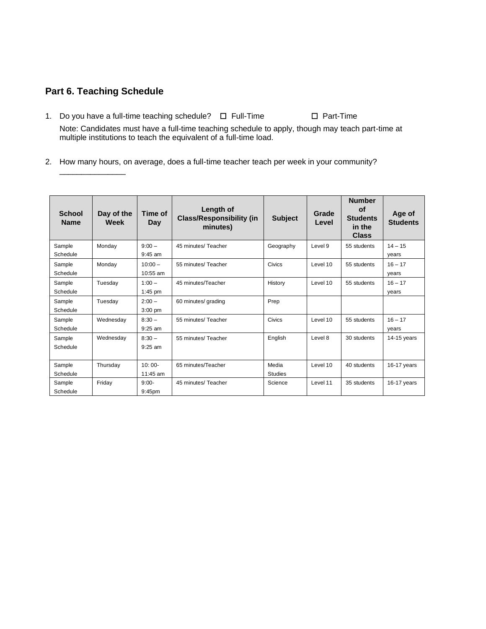## **Part 6. Teaching Schedule**

\_\_\_\_\_\_\_\_\_\_\_\_\_\_\_

- 1. Do you have a full-time teaching schedule? ☐ Full-Time ☐ Part-Time Note: Candidates must have a full-time teaching schedule to apply, though may teach part-time at multiple institutions to teach the equivalent of a full-time load.
- 2. How many hours, on average, does a full-time teacher teach per week in your community?

| <b>School</b><br><b>Name</b> | Day of the<br>Week | Time of<br>Day | Length of<br><b>Class/Responsibility (in</b><br>minutes) | <b>Subject</b> | Grade<br>Level | <b>Number</b><br>οf<br><b>Students</b><br>in the<br><b>Class</b> | Age of<br><b>Students</b> |
|------------------------------|--------------------|----------------|----------------------------------------------------------|----------------|----------------|------------------------------------------------------------------|---------------------------|
| Sample                       | Monday             | $9:00 -$       | 45 minutes/ Teacher                                      | Geography      | Level 9        | 55 students                                                      | $14 - 15$                 |
| Schedule                     |                    | $9:45$ am      |                                                          |                |                |                                                                  | years                     |
| Sample                       | Monday             | $10:00 -$      | 55 minutes/ Teacher                                      | Civics         | Level 10       | 55 students                                                      | $16 - 17$                 |
| Schedule                     |                    | 10:55 am       |                                                          |                |                |                                                                  | years                     |
| Sample                       | Tuesday            | $1:00 -$       | 45 minutes/Teacher                                       | History        | Level 10       | 55 students                                                      | $16 - 17$                 |
| Schedule                     |                    | $1:45$ pm      |                                                          |                |                |                                                                  | years                     |
| Sample                       | Tuesday            | $2:00 -$       | 60 minutes/ grading                                      | Prep           |                |                                                                  |                           |
| Schedule                     |                    | $3:00$ pm      |                                                          |                |                |                                                                  |                           |
| Sample                       | Wednesday          | $8:30 -$       | 55 minutes/ Teacher                                      | Civics         | Level 10       | 55 students                                                      | $16 - 17$                 |
| Schedule                     |                    | $9:25$ am      |                                                          |                |                |                                                                  | years                     |
| Sample                       | Wednesday          | $8:30 -$       | 55 minutes/ Teacher                                      | English        | Level 8        | 30 students                                                      | 14-15 years               |
| Schedule                     |                    | $9:25$ am      |                                                          |                |                |                                                                  |                           |
|                              |                    |                |                                                          |                |                |                                                                  |                           |
| Sample                       | Thursday           | $10:00-$       | 65 minutes/Teacher                                       | Media          | Level 10       | 40 students                                                      | 16-17 years               |
| Schedule                     |                    | 11:45 am       |                                                          | <b>Studies</b> |                |                                                                  |                           |
| Sample                       | Friday             | $9:00-$        | 45 minutes/ Teacher                                      | Science        | Level 11       | 35 students                                                      | 16-17 years               |
| Schedule                     |                    | $9:45$ pm      |                                                          |                |                |                                                                  |                           |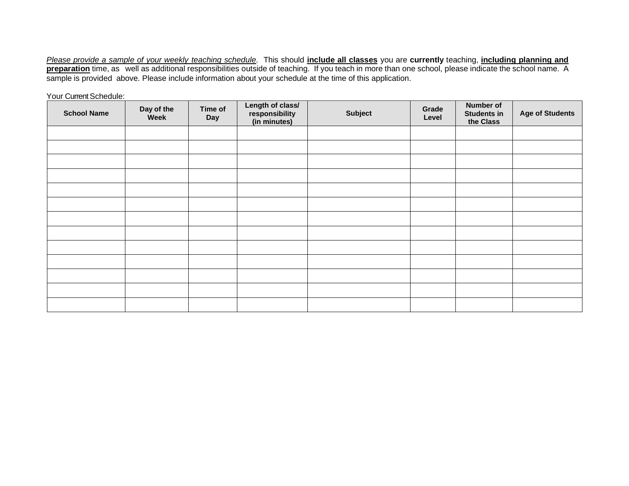Please provide a sample of your weekly teaching schedule. This should include all classes you are currently teaching, including planning and **preparation** time, as well as additional responsibilities outside of teaching. If you teach in more than one school, please indicate the school name. A sample is provided above. Please include information about your schedule at the time of this application.

Your Current Schedule: **School Name Day of the Week Time of Day Length of class/ responsibility (in minutes) Subject Grade Level Number of Students in the Class Age of Students**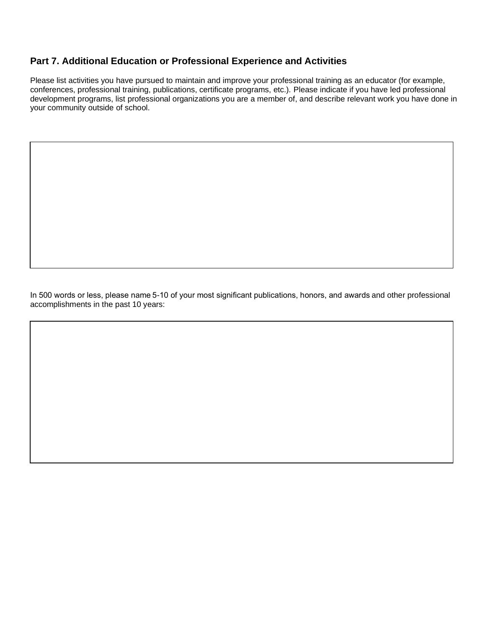## **Part 7. Additional Education or Professional Experience and Activities**

Please list activities you have pursued to maintain and improve your professional training as an educator (for example, conferences, professional training, publications, certificate programs, etc.). Please indicate if you have led professional development programs, list professional organizations you are a member of, and describe relevant work you have done in your community outside of school.

In 500 words or less, please name 5-10 of your most significant publications, honors, and awards and other professional accomplishments in the past 10 years: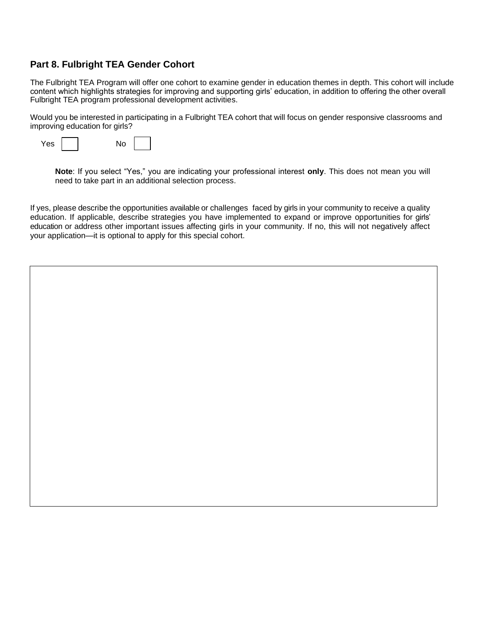## **Part 8. Fulbright TEA Gender Cohort**

The Fulbright TEA Program will offer one cohort to examine gender in education themes in depth. This cohort will include content which highlights strategies for improving and supporting girls' education, in addition to offering the other overall Fulbright TEA program professional development activities.

Would you be interested in participating in a Fulbright TEA cohort that will focus on gender responsive classrooms and improving education for girls?

| <b>Yes</b> |  | No |
|------------|--|----|
|------------|--|----|

**Note**: If you select "Yes," you are indicating your professional interest **only**. This does not mean you will need to take part in an additional selection process.

If yes, please describe the opportunities available or challenges faced by girls in your community to receive a quality education. If applicable, describe strategies you have implemented to expand or improve opportunities for girls' education or address other important issues affecting girls in your community. If no, this will not negatively affect your application—it is optional to apply for this special cohort.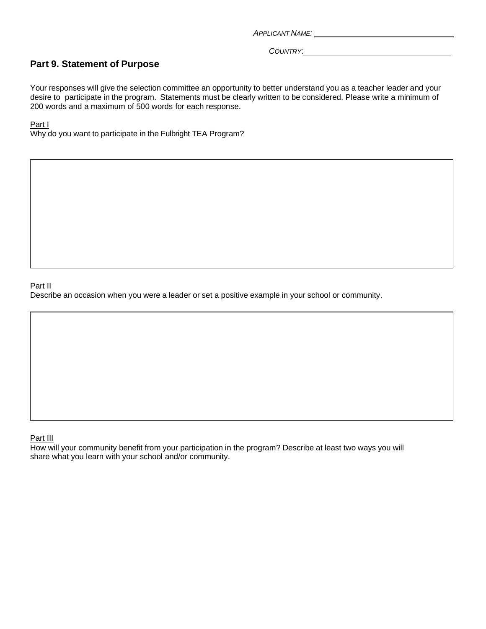*COUNTRY*:

## **Part 9. Statement of Purpose**

Your responses will give the selection committee an opportunity to better understand you as a teacher leader and your desire to participate in the program. Statements must be clearly written to be considered. Please write a minimum of 200 words and a maximum of 500 words for each response.

#### Part I

Why do you want to participate in the Fulbright TEA Program?

#### Part II

Describe an occasion when you were a leader or set a positive example in your school or community.

#### Part III

How will your community benefit from your participation in the program? Describe at least two ways you will share what you learn with your school and/or community.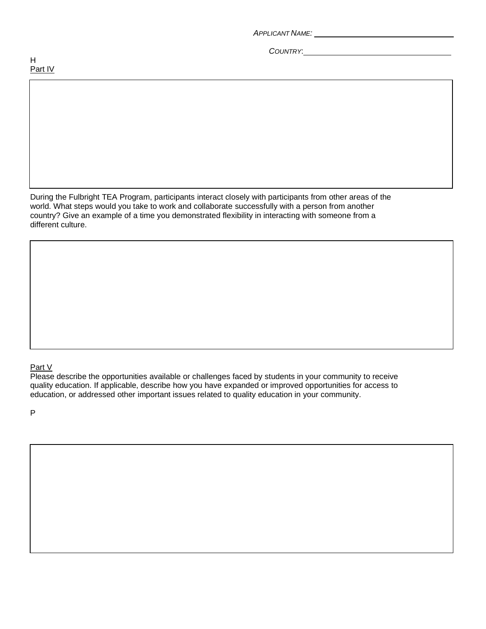*COUNTRY*:

During the Fulbright TEA Program, participants interact closely with participants from other areas of the world. What steps would you take to work and collaborate successfully with a person from another country? Give an example of a time you demonstrated flexibility in interacting with someone from a different culture.

### Part V

Please describe the opportunities available or challenges faced by students in your community to receive quality education. If applicable, describe how you have expanded or improved opportunities for access to education, or addressed other important issues related to quality education in your community.

P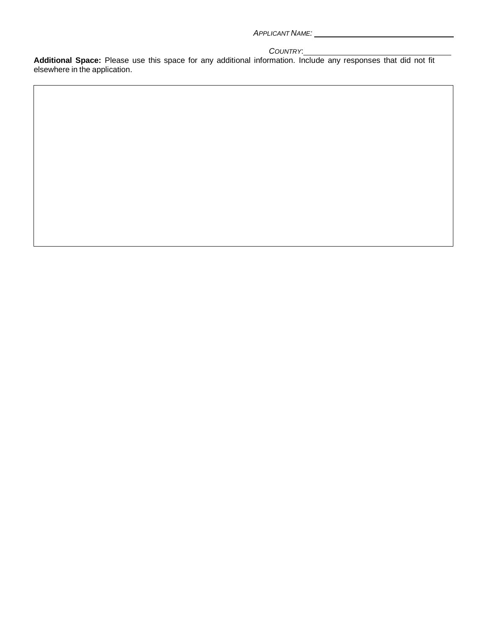#### *COUNTRY*:

**Additional Space:** Please use this space for any additional information. Include any responses that did not fit elsewhere in the application.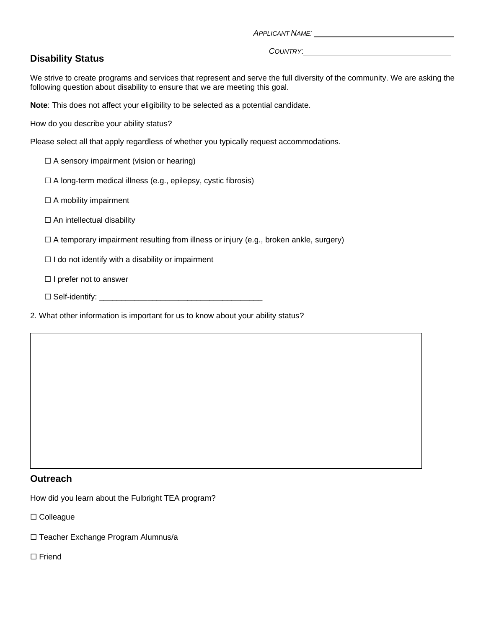## **Disability Status**

*COUNTRY*:

We strive to create programs and services that represent and serve the full diversity of the community. We are asking the following question about disability to ensure that we are meeting this goal.

**Note**: This does not affect your eligibility to be selected as a potential candidate.

How do you describe your ability status?

Please select all that apply regardless of whether you typically request accommodations.

 $\Box$  A sensory impairment (vision or hearing)

 $\Box$  A long-term medical illness (e.g., epilepsy, cystic fibrosis)

□ A mobility impairment

 $\Box$  An intellectual disability

 $\Box$  A temporary impairment resulting from illness or injury (e.g., broken ankle, surgery)

 $\Box$  I do not identify with a disability or impairment

□ I prefer not to answer

☐ Self-identify: \_\_\_\_\_\_\_\_\_\_\_\_\_\_\_\_\_\_\_\_\_\_\_\_\_\_\_\_\_\_\_\_\_\_\_\_\_

2. What other information is important for us to know about your ability status?

### **Outreach**

How did you learn about the Fulbright TEA program?

☐ Colleague

- ☐ Teacher Exchange Program Alumnus/a
- ☐ Friend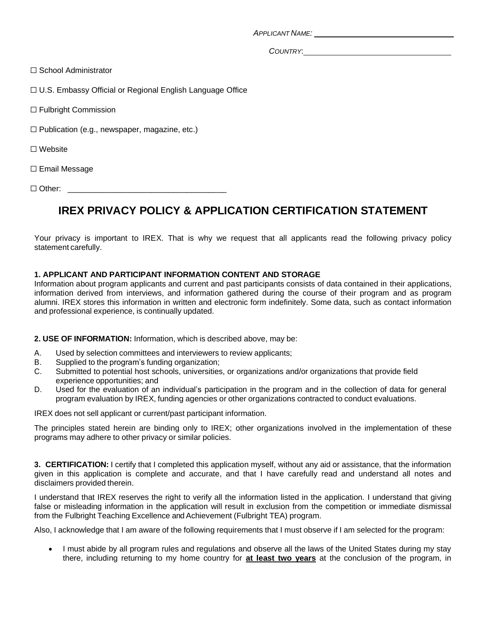*COUNTRY*:

□ School Administrator

☐ U.S. Embassy Official or Regional English Language Office

☐ Fulbright Commission

☐ Publication (e.g., newspaper, magazine, etc.)

☐ Website

☐ Email Message

 $\Box$  Other:

## **IREX PRIVACY POLICY & APPLICATION CERTIFICATION STATEMENT**

Your privacy is important to IREX. That is why we request that all applicants read the following privacy policy statement carefully.

#### **1. APPLICANT AND PARTICIPANT INFORMATION CONTENT AND STORAGE**

Information about program applicants and current and past participants consists of data contained in their applications, information derived from interviews, and information gathered during the course of their program and as program alumni. IREX stores this information in written and electronic form indefinitely. Some data, such as contact information and professional experience, is continually updated.

#### **2. USE OF INFORMATION:** Information, which is described above, may be:

- A. Used by selection committees and interviewers to review applicants;
- B. Supplied to the program's funding organization;
- C. Submitted to potential host schools, universities, or organizations and/or organizations that provide field experience opportunities; and
- D. Used for the evaluation of an individual's participation in the program and in the collection of data for general program evaluation by IREX, funding agencies or other organizations contracted to conduct evaluations.

IREX does not sell applicant or current/past participant information.

The principles stated herein are binding only to IREX; other organizations involved in the implementation of these programs may adhere to other privacy or similar policies.

**3. CERTIFICATION:** I certify that I completed this application myself, without any aid or assistance, that the information given in this application is complete and accurate, and that I have carefully read and understand all notes and disclaimers provided therein.

I understand that IREX reserves the right to verify all the information listed in the application. I understand that giving false or misleading information in the application will result in exclusion from the competition or immediate dismissal from the Fulbright Teaching Excellence and Achievement (Fulbright TEA) program.

Also, I acknowledge that I am aware of the following requirements that I must observe if I am selected for the program:

• I must abide by all program rules and regulations and observe all the laws of the United States during my stay there, including returning to my home country for **at least two years** at the conclusion of the program, in